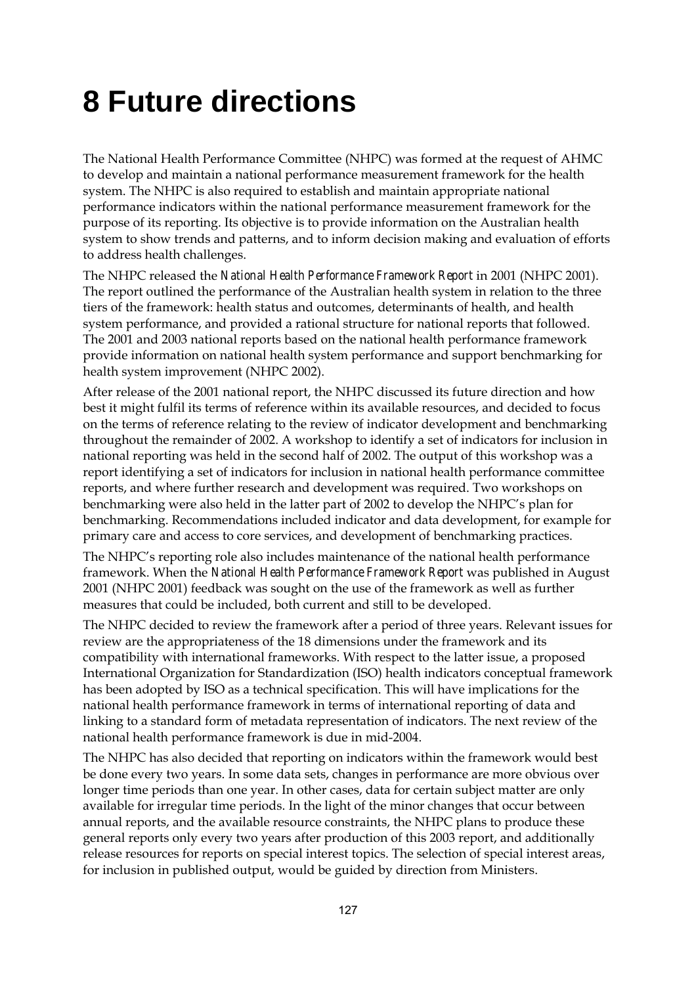## **8 Future directions**

The National Health Performance Committee (NHPC) was formed at the request of AHMC to develop and maintain a national performance measurement framework for the health system. The NHPC is also required to establish and maintain appropriate national performance indicators within the national performance measurement framework for the purpose of its reporting. Its objective is to provide information on the Australian health system to show trends and patterns, and to inform decision making and evaluation of efforts to address health challenges.

The NHPC released the *National Health Performance Framework Report* in 2001 (NHPC 2001). The report outlined the performance of the Australian health system in relation to the three tiers of the framework: health status and outcomes, determinants of health, and health system performance, and provided a rational structure for national reports that followed. The 2001 and 2003 national reports based on the national health performance framework provide information on national health system performance and support benchmarking for health system improvement (NHPC 2002).

After release of the 2001 national report, the NHPC discussed its future direction and how best it might fulfil its terms of reference within its available resources, and decided to focus on the terms of reference relating to the review of indicator development and benchmarking throughout the remainder of 2002. A workshop to identify a set of indicators for inclusion in national reporting was held in the second half of 2002. The output of this workshop was a report identifying a set of indicators for inclusion in national health performance committee reports, and where further research and development was required. Two workshops on benchmarking were also held in the latter part of 2002 to develop the NHPC's plan for benchmarking. Recommendations included indicator and data development, for example for primary care and access to core services, and development of benchmarking practices.

The NHPC's reporting role also includes maintenance of the national health performance framework. When the *National Health Performance Framework Report* was published in August 2001 (NHPC 2001) feedback was sought on the use of the framework as well as further measures that could be included, both current and still to be developed.

The NHPC decided to review the framework after a period of three years. Relevant issues for review are the appropriateness of the 18 dimensions under the framework and its compatibility with international frameworks. With respect to the latter issue, a proposed International Organization for Standardization (ISO) health indicators conceptual framework has been adopted by ISO as a technical specification. This will have implications for the national health performance framework in terms of international reporting of data and linking to a standard form of metadata representation of indicators. The next review of the national health performance framework is due in mid-2004.

The NHPC has also decided that reporting on indicators within the framework would best be done every two years. In some data sets, changes in performance are more obvious over longer time periods than one year. In other cases, data for certain subject matter are only available for irregular time periods. In the light of the minor changes that occur between annual reports, and the available resource constraints, the NHPC plans to produce these general reports only every two years after production of this 2003 report, and additionally release resources for reports on special interest topics. The selection of special interest areas, for inclusion in published output, would be guided by direction from Ministers.